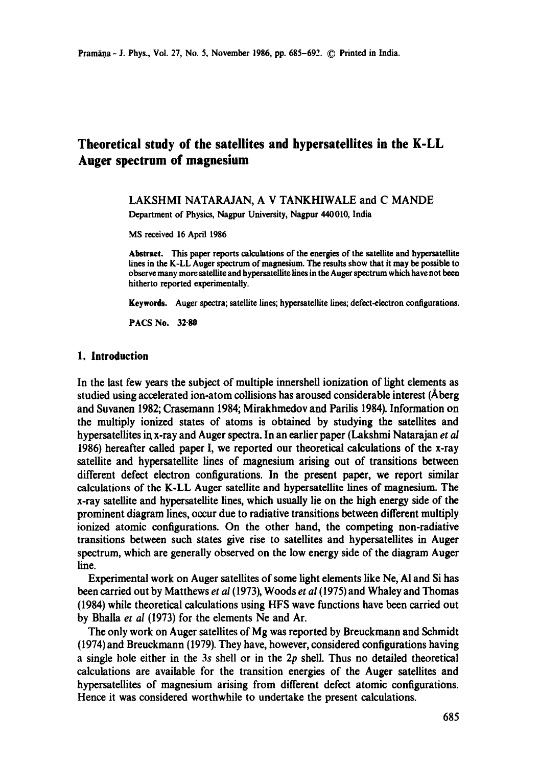# **Theoretical study of the satellites and hypersatellites in the K-LL Auger spectrum of magnesium**

### LAKSHMI NATARAJAN, A V TANKHIWALE and C MANDE Department of Physics, Nagpur University, Nagpur 440010, India

MS received 16 April 1986

Abstract. This paper reports calculations of the energies of the satellite and hypersatellite lines in the K-LL Auger spectrum of magnesium. The results show that it may be possible to observe many more satellite and hypersatelfite lines in the Auger spectrum which have not been hitherto reported experimentally.

**Keywords.** Auger spectra; satellite lines; hypersatellite lines; defect-electron configurations.

**PACS No. 32.80** 

#### **1. Introduction**

In the last few years the subject of multiple innershell ionization of light elements as studied using accelerated ion-atom collisions has aroused considerable interest (Aberg and Suvanen 1982; Crasemann 1984; Mirakhmedov and Parilis 1984). Information on the multiply ionized states of atoms is obtained by studying the satellites and hypersatellites in x-ray and Auger spectra. In an earlier paper (Lakshmi Natarajan *et al*  1986) hereafter called paper I, we reported our theoretical calculations of the x-ray satellite and hypersatellite lines of magnesium arising out of transitions between different defect electron configurations. In the present paper, we report similar calculations of the K-LL Auger satellite and hypersatellite lines of magnesium. The x-ray satellite and hypersatellite lines, which usually lie on the high energy side of the prominent diagram lines, occur due to radiative transitions between different multiply ionized atomic configurations. On the other hand, the competing non-radiative transitions between such states give rise to satellites and hypersatellites in Auger spectrum, which are generally observed on the low energy side of the diagram Auger line.

Experimental work on Auger satellites of some light elements like Ne, Al and Si has been carried out by Matthews *et al* (1973), Woods *et al (1975)* and Whaley and Thomas (1984) while theoretical calculations using HFS wave functions have been carried out by Bhalla *et al* (1973) for the elements Ne and Ar.

The only work on Auger satellites of Mg was reported by Breuckmann and Schmidt (1974) and Breuckmann (1979). They have, however, considered configurations having a single hole either in the 3s shell or in the 2p shell. Thus no detailed theoretical calculations are available for the transition energies of the Auger satellites and hypersatellites of magnesium arising from different defect atomic configurations. Hence it was considered worthwhile to undertake the present calculations.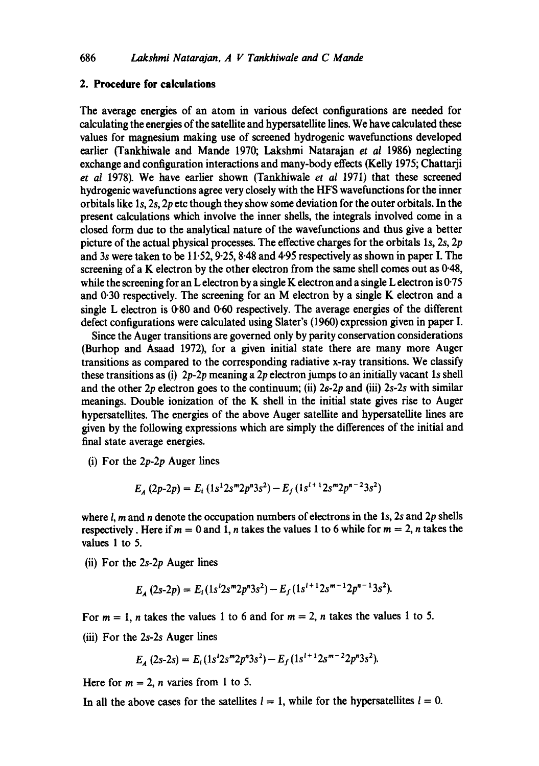### **2. Procedure for calculations**

The average energies of an atom in various defect configurations are needed for calculating the energies of the satellite and hypersatellite lines. We have calculated these values for magnesium making use of screened hydrogenic wavefunctions developed earlier (Tankhiwale and Mande 1970; Lakshmi Natarajan *et al* 1986) neglecting exchange and configuration interactions and many-body effects (Kelly 1975; Chattarji *et al* 1978). We have earlier shown (Tankhiwale *et al* 1971) that these screened hydrogenic wavefunctions agree very closely with the HFS wavefunctions for the inner orbitals like Is, 2s, 2p etc though they show some deviation for the outer orbitals. In the present calculations which involve the inner shells, the integrals involved come in a closed form due to the analytical nature of the wavefunctions and thus give a better picture of the actual physical processes. The effective charges for the orbitals Is, 2s, 2p and 3s were taken to be 11.52, 9.25, 8.48 and 4.95 respectively as shown in paper I. The screening of a K electron by the other electron from the same shell comes out as  $0.48$ , while the screening for an L electron by a single K electron and a single L electron is  $0.75$ and 0.30 respectively. The screening for an M electron by a single K electron and a single L electron is 0.80 and 0.60 respectively. The average energies of the different defect configurations were calculated using Slater's (1960) expression given in paper I.

Since the Auger transitions are governed only by parity conservation considerations (Burhop and Asaad 1972), for a given initial state there are many more Auger transitions as compared to the corresponding radiative x-ray transitions. We classify these transitions as (i) *2p-2p* meaning a 2p electron jumps to an initially vacant ls shell and the other 2p electron goes to the continuum; (ii) 2s-2p and (iii) *2s-2s* with similar meanings. Double ionization of the K shell in the initial state gives rise to Auger hypersatellites. The energies of the above Auger satellite and hypersatellite lines are given by the following expressions which are simply the differences of the initial and final state average energies.

(i) For the *2p-2p* Auger lines

$$
E_A (2p-2p) = E_i (1s^1 2s^m 2p^n 3s^2) - E_f (1s^{l+1} 2s^m 2p^{n-2} 3s^2)
$$

where  $l$ , m and n denote the occupation numbers of electrons in the 1s, 2s and 2p shells respectively. Here if  $m = 0$  and 1, *n* takes the values 1 to 6 while for  $m = 2$ , *n* takes the values 1 to 5.

(ii) For the *2s-2p* Auger lines

$$
E_A(2s-2p) = E_i(1s^2 2s^m 2p^n 3s^2) - E_f(1s^{1+1} 2s^{m-1} 2p^{n-1} 3s^2).
$$

For  $m = 1$ , *n* takes the values 1 to 6 and for  $m = 2$ , *n* takes the values 1 to 5. (iii) For the *2s-2s* Auger lines

$$
E_A(2s-2s) = E_i(1s^12s^m2p^n3s^2) - E_f(1s^{1+1}2s^{m-2}2p^n3s^2).
$$

Here for  $m = 2$ , *n* varies from 1 to 5.

In all the above cases for the satellites  $l = 1$ , while for the hypersatellites  $l = 0$ .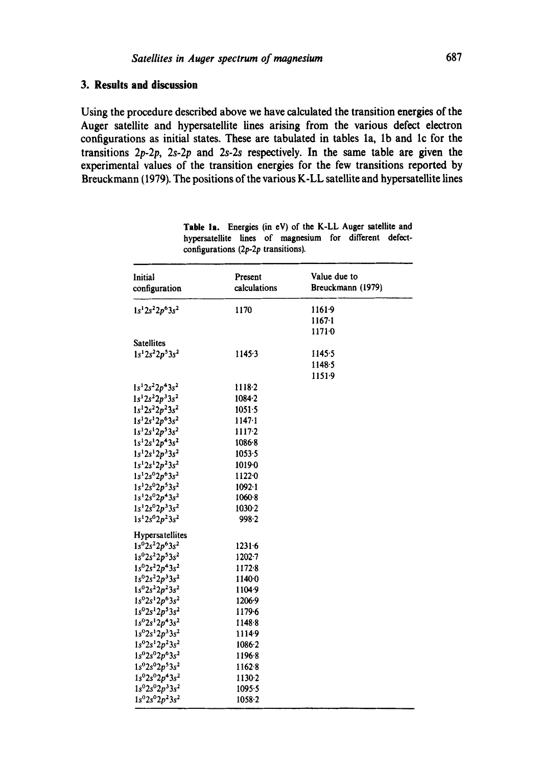## 3. Results and discussion

Using the procedure described above we have calculated the transition energies of the Auger satellite and hypersatellite lines arising from the various defect electron configurations as initial states. These are tabulated in tables 1a, 1b and 1c for the transitions  $2p-2p$ ,  $2s-2p$  and  $2s-2s$  respectively. In the same table are given the experimental values of the transition energies for the few transitions reported by Breuckmann (1979). The positions of the various K-LL satellite and hypersatellite lines

| Initial<br>configuration   | Present<br>calculations | Value due to<br>Breuckmann (1979) |
|----------------------------|-------------------------|-----------------------------------|
| $1s^12s^22p^63s^2$         | 1170                    | 11619                             |
|                            |                         | $1167 - 1$                        |
|                            |                         | 11710                             |
| <b>Satellites</b>          |                         |                                   |
| $1s^12s^22p^53s^2$         | 1145.3                  | 1145.5                            |
|                            |                         | 1148.5                            |
|                            |                         | 1151.9                            |
| $1s^12s^22p^43s^2$         | 1118.2                  |                                   |
| $1s^12s^22p^33s^2$         | $1084 - 2$              |                                   |
| $1s^12s^22p^23s^2$         | $1051 - 5$              |                                   |
| $1s^12s^12p^63s^2$         | $1147 - 1$              |                                   |
| $1s^12s^12p^53s^2$         | $1117-2$                |                                   |
| $1s12s12p43s2$             | $1086 - 8$              |                                   |
| $1s^12s^12p^33s^2$         | $1053 - 5$              |                                   |
| $1s^12s^12p^23s^2$         | 10190                   |                                   |
| $1s^12s^02p^63s^2$         | 1122.0                  |                                   |
| $1s^12s^02p^53s^2$         | 1092.1                  |                                   |
| $1s^12s^02p^43s^2$         | 1060.8                  |                                   |
| $1s^12s^02p^33s^2$         | 1030.2                  |                                   |
| $1s^{1}2s^{0}2p^{2}3s^{2}$ | 998.2                   |                                   |
| Hypersatellites            |                         |                                   |
| $1s^{0}2s^{2}2p^{6}3s^{2}$ | 12316                   |                                   |
| $1s^{0}2s^{2}2p^{5}3s^{2}$ | $1202 - 7$              |                                   |
| $1s^{0}2s^{2}2p^{4}3s^{2}$ | 1172.8                  |                                   |
| $1s^02s^22p^33s^2$         | 11400                   |                                   |
| $1s^{0}2s^{2}2p^{2}3s^{2}$ | 1104.9                  |                                   |
| $1s^{0}2s^{1}2p^{6}3s^{2}$ | 1206.9                  |                                   |
| $1s^{0}2s^{1}2p^{5}3s^{2}$ | 1179.6                  |                                   |
| $1s^{0}2s^{1}2p^{4}3s^{2}$ | 1148-8                  |                                   |
| $1s^{0}2s^{1}2p^{3}3s^{2}$ | 11149                   |                                   |
| $1s^{0}2s^{1}2p^{2}3s^{2}$ | 1086.2                  |                                   |
| $1s^02s^02p^63s^2$         | 11968                   |                                   |
| $1s^{0}2s^{0}2p^{5}3s^{2}$ | 1162.8                  |                                   |
| $1s^{0}2s^{0}2p^{4}3s^{2}$ | 1130.2                  |                                   |
| $1s^02s^02p^33s^2$         | 1095.5                  |                                   |
| $1s^{0}2s^{0}2p^{2}3s^{2}$ | 1058-2                  |                                   |

| Table 1a. Energies (in eV) of the K-LL Auger satellite and |  |  |  |  |
|------------------------------------------------------------|--|--|--|--|
| hypersatellite lines of magnesium for different defect-    |  |  |  |  |
| configurations $(2p-2p$ transitions).                      |  |  |  |  |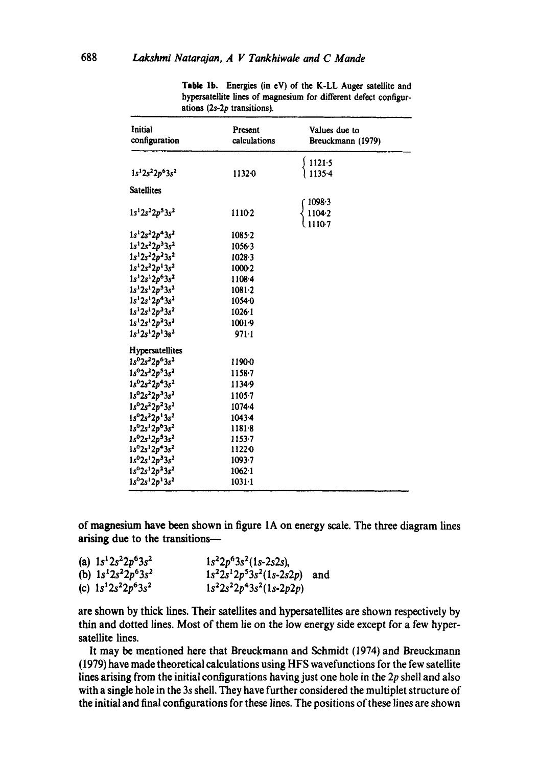| Initial<br>configuration   | Present<br>calculations | Values due to<br>Breuckmann (1979) |
|----------------------------|-------------------------|------------------------------------|
|                            |                         | 1121.5                             |
| $1s^12s^22p^63s^2$         | 1132.0                  | 1135.4                             |
| <b>Satellites</b>          |                         |                                    |
|                            |                         | $1098 - 3$                         |
| $1s^12s^22p^53s^2$         | 1110-2                  | 1104.2                             |
|                            |                         | 1110-7                             |
| $1s^12s^22p^43s^2$         | 1085.2                  |                                    |
| $1s^12s^22p^33s^2$         | $1056 - 3$              |                                    |
| $1s^12s^22p^23s^2$         | $1028 - 3$              |                                    |
| $1s^12s^22p^13s^2$         | $1000-2$                |                                    |
| $1s^12s^12p^63s^2$         | 1108.4                  |                                    |
| $1s^12s^12p^53s^2$         | $1081 - 2$              |                                    |
| $1s12s12p43s2$             | 10540                   |                                    |
| $1s^12s^12p^33s^2$         | 1026.1                  |                                    |
| $1s^12s^12p^23s^2$         | $1001-9$                |                                    |
| $1s^12s^12p^13s^2$         | $971 - 1$               |                                    |
| Hypersatellites            |                         |                                    |
| $1s^{0}2s^{2}2p^{6}3s^{2}$ | 11900                   |                                    |
| $1s^02s^22p^53s^2$         | 1158-7                  |                                    |
| $1s^{0}2s^{2}2p^{4}3s^{2}$ | 1134-9                  |                                    |
| $1s^02s^22p^33s^2$         | $1105 - 7$              |                                    |
| $1s^{0}2s^{2}2p^{2}3s^{2}$ | $1074 - 4$              |                                    |
| $1s^{0}2s^{2}2p^{1}3s^{2}$ | 1043.4                  |                                    |
| $1s^02s^12p^63s^2$         | $1181 - 8$              |                                    |
| $1s^02s^12p^53s^2$         | 1153-7                  |                                    |
| $1s^02s^12p^43s^2$         | 1122.0                  |                                    |
| $1s^{0}2s^{1}2p^{3}3s^{2}$ | $1093 - 7$              |                                    |
| $1s^02s^12p^23s^2$         | $1062 - 1$              |                                    |
| $1s^{0}2s^{1}2p^{1}3s^{2}$ | $1031 - 1$              |                                    |
|                            |                         |                                    |

Table 1b. Energies (in eV) of the K-LL Auger satellite and hypersatellite lines of magnesium for different defect configurations (2s-2p transitions).

of magnesium have been shown in figure 1A on energy scale. The three diagram lines arising due to the transitions-

| (a) $1s^12s^22p^63s^2$ | $1s^22p^63s^2(1s-2s2s)$ ,   |  |
|------------------------|-----------------------------|--|
| (b) $1s^22s^22p^63s^2$ | $1s22s12p53s2(1s-2s2p)$ and |  |
| (c) $1s^12s^22p^63s^2$ | $1s^22s^22p^43s^2(1s-2p2p)$ |  |

are shown by thick lines. Their satellites and hypersatellites are shown respectively by thin and dotted lines. Most of them lie on the low energy side except for a few hypersatellite lines.

It may be mentioned here that Breuckmann and Schmidt (1974) and Breuckmann (1979) have made theoretical calculations using HFS wavefunctions for the few satellite lines arising from the initial configurations having just one hole in the  $2p$  shell and also with a single hole in the 3s shell. They have further considered the multiplet structure of the initial and final configurations for these lines. The positions of these lines are shown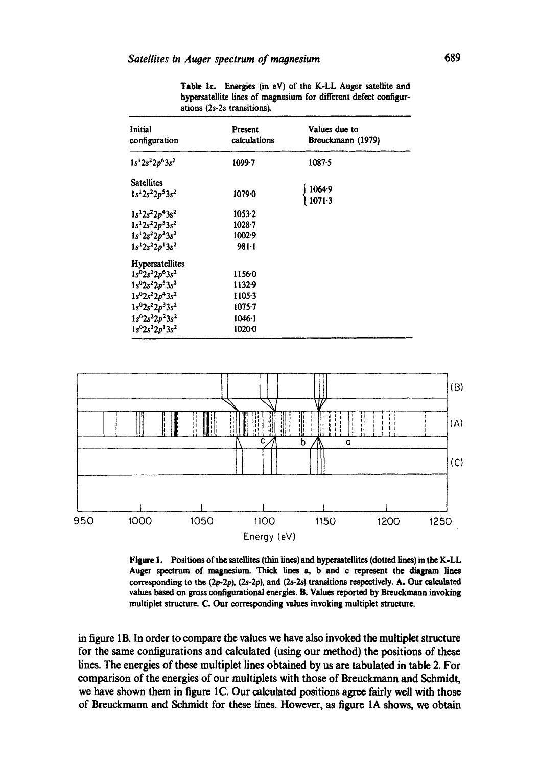| Initial<br>configuration   | Present<br>calculations | Values due to<br>Breuckmann (1979) |
|----------------------------|-------------------------|------------------------------------|
| $1s12s22p63s2$             | 1099-7                  | 1087.5                             |
| <b>Satellites</b>          |                         |                                    |
| $1s^12s^22p^53s^2$         | $1079 - 0$              | $1064.9$<br>$1071.3$               |
| $1s^12s^22p^43s^2$         | 1053.2                  |                                    |
| $1s^12s^22p^33s^2$         | $1028 - 7$              |                                    |
| $1s^12s^22p^23s^2$         | 1002.9                  |                                    |
| $1s^12s^22p^13s^2$         | $981 - 1$               |                                    |
| Hypersatellites            |                         |                                    |
| $1s^02s^22p^63s^2$         | 11560                   |                                    |
| $1s^{0}2s^{2}2p^{5}3s^{2}$ | 1132.9                  |                                    |
| $1s^02s^22p^43s^2$         | 1105.3                  |                                    |
| $1s^{0}2s^{2}2p^{3}3s^{2}$ | $1075 - 7$              |                                    |
| $1s^{0}2s^{2}2p^{2}3s^{2}$ | 1046.1                  |                                    |
| $1s^{0}2s^{2}2p^{1}3s^{2}$ | 1020-0                  |                                    |

Table 1c. Energies (in eV) of the K-LL Auger satellite and hypersatellite lines of magnesium for different defect configurations (2s-2s transitions).



Figure 1. Positions of the satellites (thin lines) and hypersatellites (dotted lines) in the K-LL Auger spectrum of magnesium. Thick lines a, b and c represent the diagram lines corresponding to the  $(2p-2p)$ ,  $(2s-2p)$ , and  $(2s-2s)$  transitions respectively. A. Our calculated values based on gross configurational energies. B. Values reported by Breuckmann invoking multiplet structure. C. Our corresponding values invoking multiplet structure.

in figure 1B. In order to compare the values we have also invoked the multiplet structure for the same configurations and calculated (using our method) the positions of these lines. The energies of these multiplet lines obtained by us are tabulated in table 2. For comparison of the energies of our multiplets with those of Breuckmann and Schmidt, we have shown them in figure 1C. Our calculated positions agree fairly well with those of Breuckmann and Schmidt for these lines. However, as figure 1A shows, we obtain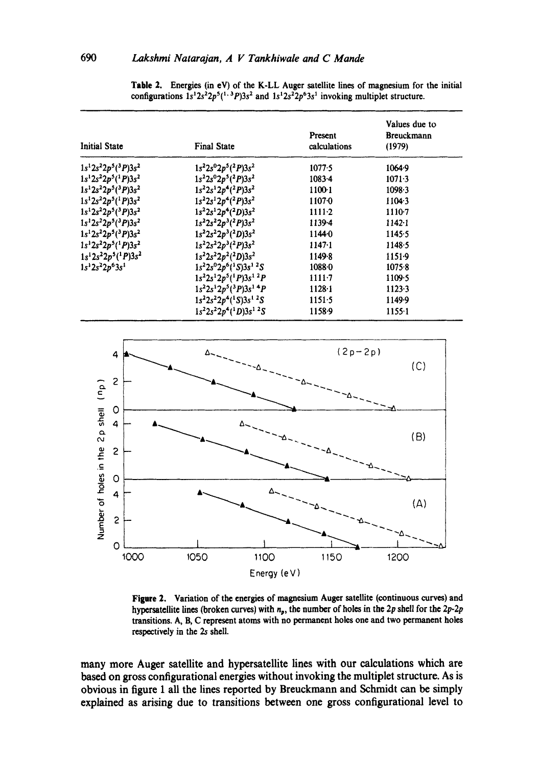| <b>Initial State</b>              | <b>Final State</b>                                   | Present<br>calculations | Values due to<br><b>Breuckmann</b><br>(1979) |
|-----------------------------------|------------------------------------------------------|-------------------------|----------------------------------------------|
| $1s^12s^22p^5(^3P)3s^2$           | $1s^22s^02p^5(^2P)3s^2$                              | 1077.5                  | $1064 - 9$                                   |
| $1s12s22p5(1P)3s2$                | $1s22s02p5(2P)3s2$                                   | $1083 - 4$              | $1071 - 3$                                   |
| $1s^12s^22p^5(^3P)3s^2$           | $1s^22s^12p^4(^2P)3s^2$                              | 1100-1                  | 1098.3                                       |
| $1s^12s^22p^5(^1P)3s^2$           | $1s^22s^12p^4(^2P)3s^2$                              | 11070                   | $1104-3$                                     |
| $1s^12s^22p^5(^3P)3s^2$           | $1s^22s^12p^4(^2D)3s^2$                              | $1111-2$                | 1110-7                                       |
| $1s^{1}2s^{2}2p^{5}(^{3}P)3s^{2}$ | $1s^22s^22p^3(^2P)3s^2$                              | 1139-4                  | $1142 - 1$                                   |
| $1s^12s^22p^5(^3P)3s^2$           | $1s22s22p3(2D)3s2$                                   | 11440                   | 1145.5                                       |
| $1s^12s^22p^5(^1P)3s^2$           | $1s^22s^22p^3(^2P)3s^2$                              | $1147 - 1$              | 1148.5                                       |
| $1s^{1}2s^{2}2p^{5}(^{1}P)3s^{2}$ | $1s^22s^22p^2(^2D)3s^2$                              | 1149-8                  | $1151-9$                                     |
| $1s^12s^22p^63s^1$                | $1s22s02p6(1S)3s1 2S$                                | 10880                   | 1075.8                                       |
|                                   | $1s^22s^12p^5(^1P)3s^1{}^2P$                         | $1111-7$                | 1109.5                                       |
|                                   | $1s^22s^12p^5(3P)3s^14P$                             | $1128 - 1$              | 1123.3                                       |
|                                   | $1s^22s^22p^4(^1S)3s^1{}^2S$                         | $1151 - 5$              | 1149.9                                       |
|                                   | $1s^22s^22p^4$ <sup>1</sup> D) $3s^1$ <sup>2</sup> S | 1158.9                  | $1155-1$                                     |

Table 2. Energies (in eV) of the K-LL Auger satellite lines of magnesium for the initial configurations  $1s^12s^22p^5(^{1,3}P)3s^2$  and  $1s^12s^22p^63s^1$  invoking multiplet structure.



Figure 2. Variation of the energies of magnesium Auger satellite (continuous curves) and hypersatellite lines (broken curves) with  $n_p$ , the number of holes in the 2p shell for the 2p-2p transitions. A, B, C represent atoms with no permanent holes one and two permanent holes respectively in the 2s shell.

many more Auger satellite and hypersatellite lines with our calculations which are based on gross configurational energies without invoking the multiplet structure. As is obvious in figure 1 all the lines reported by Breuckmann and Schmidt can be simply explained as arising due to transitions between one gross configurational level to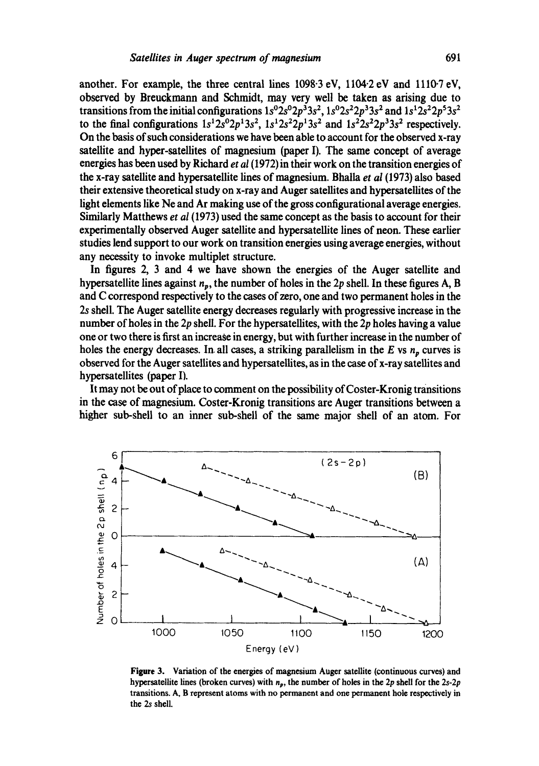another. For example, the three central lines  $1098.3 \text{ eV}$ ,  $1104.2 \text{ eV}$  and  $1110.7 \text{ eV}$ , observed by Breuckmann and Schmidt, may very well be taken as arising due to transitions from the initial configurations  $1s^02s^02p^33s^2$ ,  $1s^02s^22p^33s^2$  and  $1s^12s^22p^53s^2$ to the final configurations  $1s^{1}2s^{0}2p^{1}3s^{2}$ ,  $1s^{1}2s^{2}2p^{1}3s^{2}$  and  $1s^{2}2s^{2}2p^{3}3s^{2}$  respectively. On the basis of such considerations we have been able to account for the observed x-ray satellite and hyoer-satellites of magnesium (paper I). The same concept of average energies has been used by Richard *et al* (1972) in their work on the transition energies of the x-ray satellite and hypersatellite lines of magnesium. Bhalla *et al* (1973) also based their extensive theoretical study on x-ray and Auger satellites and hypersatellites of the light elements like Ne and Ar making use of the gross configurational average energies. Similarly Matthews *et al* (1973) used the same concept as the basis to account for their experimentally observed Auger satellite and hypersatellite lines of neon. These earlier studies lend support to our work on transition energies using average energies, without any necessity to invoke multiplet structure.

In figures 2, 3 and 4 we have shown the energies of the Auger satellite and hypersatellite lines against  $n_p$ , the number of holes in the 2p shell. In these figures A, B and C correspond respectively to the cases of zero, one and two permanent holes in the 2s shell. The Auger satellite energy decreases regularly with progressive increase in the number of holes in the  $2p$  shell. For the hypersatellites, with the  $2p$  holes having a value one or two there is first an increase in energy, but with further increase in the number of holes the energy decreases. In all cases, a striking parallelism in the E vs  $n_p$  curves is observed for the Auger satellites and hypersatellites, as in the case of x-ray satellites and hypersatellites (paper I).

It may not be out of place to comment on the possibility of Coster-Kronig transitions in the case of magnesium. Coster-Kronig transitions are Auger transitions between a higher sub-shell to an inner sub-shell of the same major shell of an atom. For



**Figure** 3. Variation of the energies of magnesium Auger satellite (continuous curves) and hypersatellite lines (broken curves) with np, the number of holes in the 2p shell for the *2s-2p*  transitions. A, B represent atoms with no permanent and one permanent hole respectively in the 2s shell.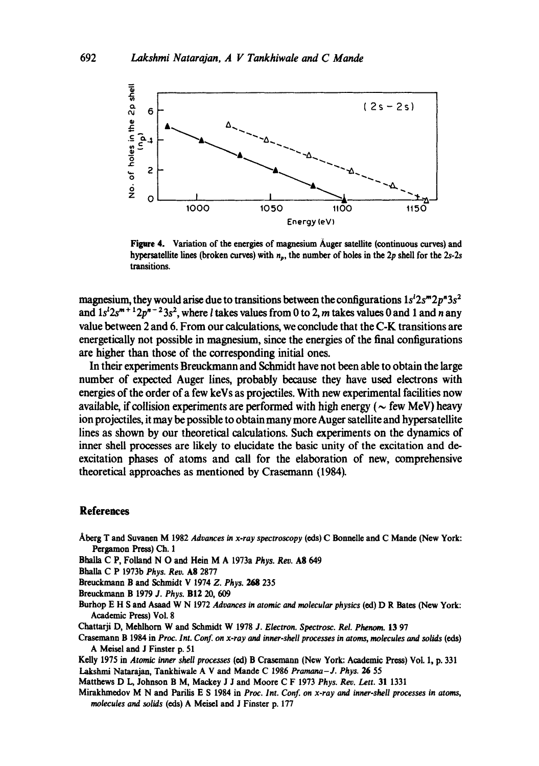![](_page_7_Figure_1.jpeg)

Figure 4. Variation of the energies of magnesium Auger satellite (continuous curves) and hypersatellite lines (broken curves) with  $n_p$ , the number of holes in the 2p shell for the 2s-2s transitions.

magnesium, they would arise due to transitions between the configurations  $1s<sup>2</sup> 2s<sup>m</sup> 2p<sup>n</sup> 3s<sup>2</sup>$ and  $1s^{1}2s^{m+1}2p^{n-2}3s^{2}$ , where *l* takes values from 0 to 2, *m* takes values 0 and 1 and *n* any value between 2 and 6. From our calculations, we conclude that the C-K transitions are energetically not possible in magnesium, since the energies of the final configurations are higher than those of the corresponding initial ones.

In their experiments Breuckmann and Schmidt have not been able to obtain the large number of expected Auger lines, probably because they have used electrons with energies of the order of a few keVs as projectiles. With new experimental facilities now available, if collision experiments are performed with high energy ( $\sim$  few MeV) heavy ion projectiles, it may be possible to obtain many more Auger satellite and hypersatellite lines as shown by our theoretical calculations. Such experiments on the dynamics of inner shell processes are likely to elucidate the basic unity of the excitation and deexcitation phases of atoms and call for the elaboration of new, comprehensive theoretical approaches as mentioned by Crasemann (1984).

#### **References**

Aberg T and Suvanen M 1982 *Advances in x-ray spectroscopy* (ods) C Bonnelle and C Mande (New York: Pergamon Press) Ch. l

Bhalla C P, Folland N O and Hein M A 1973a Phys. Rev. A8 649

Bhalla C P 1973b *Phys. Rev.* Ag 2877

Breuckmann B and Schmidt V 1974 *Z. Phys. 26g* 235

- Breuckmann B 1979 *J. Phys.* BI2 20, 609
- Burhop E H S and Asaad W N 1972 *Advances in atomic and molecular physics* (ed) D R Bates (New York: Academic Press) Vol. 8

Chattarji D, Mehlhorn W and Schmidt W 1978 *J. Electron. Spectrosc. Rel. Phenorn.* 13 97

Crasemann B 1984 in *Proc. lnt. Conf on x-ray and inner-shell processes in atoms, molecules and solids (eds)*  A Meisel and J Finster p. 51

Kelly 1975 in *Atomic inner shell processes* (ed) B Crasemann (New York: Academic Press) VoL 1, p. 331 Lakshmi Natarajan, Tankhiwale A V and Mande C 1986 *Pramana-J. Phys. 26* 55

Matthews D L, Johnson B M, Mackey J J and Moore C F 1973 *Phys. Rev. Lett.* 31 1331

Mirakhmedov M N and Parilis E S 1984 in *Proc. Int. Conf. on x.ray and inner-shell processes in atoms, molecules and solids* (eds) A Meisel and J Finster p. 177